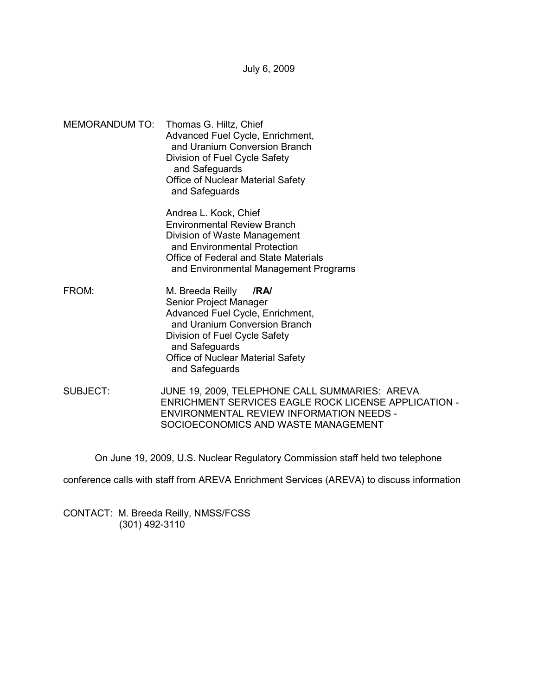July 6, 2009

MEMORANDUM TO: Thomas G. Hiltz, Chief Advanced Fuel Cycle, Enrichment, and Uranium Conversion Branch Division of Fuel Cycle Safety and Safeguards Office of Nuclear Material Safety and Safeguards

> Andrea L. Kock, Chief Environmental Review Branch Division of Waste Management and Environmental Protection Office of Federal and State Materials and Environmental Management Programs

- FROM: M. Breeda Reilly **/RA/**  Senior Project Manager Advanced Fuel Cycle, Enrichment, and Uranium Conversion Branch Division of Fuel Cycle Safety and Safeguards Office of Nuclear Material Safety and Safeguards
- SUBJECT: JUNE 19, 2009, TELEPHONE CALL SUMMARIES: AREVA ENRICHMENT SERVICES EAGLE ROCK LICENSE APPLICATION - ENVIRONMENTAL REVIEW INFORMATION NEEDS - SOCIOECONOMICS AND WASTE MANAGEMENT

On June 19, 2009, U.S. Nuclear Regulatory Commission staff held two telephone

conference calls with staff from AREVA Enrichment Services (AREVA) to discuss information

CONTACT: M. Breeda Reilly, NMSS/FCSS (301) 492-3110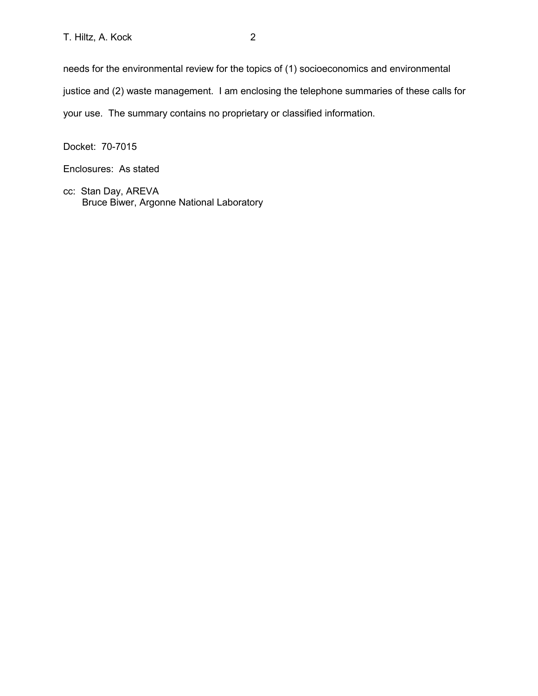needs for the environmental review for the topics of (1) socioeconomics and environmental justice and (2) waste management. I am enclosing the telephone summaries of these calls for your use. The summary contains no proprietary or classified information.

Docket: 70-7015

Enclosures: As stated

cc: Stan Day, AREVA Bruce Biwer, Argonne National Laboratory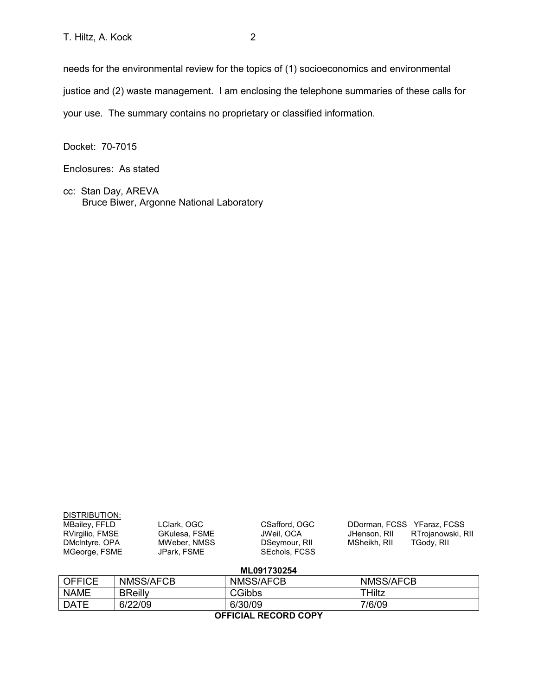Docket: 70-7015

Enclosures: As stated

cc: Stan Day, AREVA Bruce Biwer, Argonne National Laboratory

| DISTRIBUTION:   |               |                      |                            |                   |  |
|-----------------|---------------|----------------------|----------------------------|-------------------|--|
| MBailey, FFLD   | LClark, OGC   | CSafford, OGC        | DDorman, FCSS YFaraz, FCSS |                   |  |
| RVirgilio, FMSE | GKulesa, FSME | JWeil. OCA           | JHenson, RII               | RTrojanowski, RII |  |
| DMcIntyre, OPA  | MWeber, NMSS  | DSeymour, RII        | MSheikh, RII               | TGody, RII        |  |
| MGeorge, FSME   | JPark, FSME   | <b>SEchols, FCSS</b> |                            |                   |  |
|                 |               |                      |                            |                   |  |
| ML091730254     |               |                      |                            |                   |  |

| AFFIAIAL BEAARD AABV |                  |                  |                  |  |  |
|----------------------|------------------|------------------|------------------|--|--|
| <b>DATE</b>          | 6/22/09          | 6/30/09          | 7/6/09           |  |  |
| <b>NAME</b>          | <b>BReilly</b>   | <b>CGibbs</b>    | ⊤Hiltz           |  |  |
| <b>OFFICE</b>        | <b>NMSS/AFCB</b> | <b>NMSS/AFCB</b> | <b>NMSS/AFCB</b> |  |  |

**OFFICIAL RECORD COPY**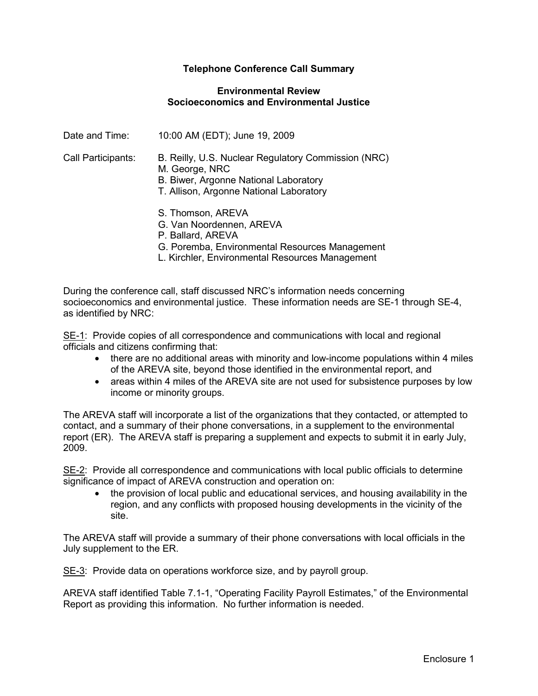## **Telephone Conference Call Summary**

### **Environmental Review Socioeconomics and Environmental Justice**

| Date and Time:     | 10:00 AM (EDT); June 19, 2009                                                                                                                             |
|--------------------|-----------------------------------------------------------------------------------------------------------------------------------------------------------|
| Call Participants: | B. Reilly, U.S. Nuclear Regulatory Commission (NRC)<br>M. George, NRC<br>B. Biwer, Argonne National Laboratory<br>T. Allison, Argonne National Laboratory |
|                    | S. Thomson, AREVA<br>G. Van Noordennen, AREVA<br>P. Ballard, AREVA<br>G. Poremba, Environmental Resources Management                                      |

L. Kirchler, Environmental Resources Management

During the conference call, staff discussed NRC's information needs concerning socioeconomics and environmental justice. These information needs are SE-1 through SE-4, as identified by NRC:

SE-1: Provide copies of all correspondence and communications with local and regional officials and citizens confirming that:

- there are no additional areas with minority and low-income populations within 4 miles of the AREVA site, beyond those identified in the environmental report, and
- areas within 4 miles of the AREVA site are not used for subsistence purposes by low income or minority groups.

The AREVA staff will incorporate a list of the organizations that they contacted, or attempted to contact, and a summary of their phone conversations, in a supplement to the environmental report (ER). The AREVA staff is preparing a supplement and expects to submit it in early July, 2009.

SE-2: Provide all correspondence and communications with local public officials to determine significance of impact of AREVA construction and operation on:

• the provision of local public and educational services, and housing availability in the region, and any conflicts with proposed housing developments in the vicinity of the site.

The AREVA staff will provide a summary of their phone conversations with local officials in the July supplement to the ER.

SE-3: Provide data on operations workforce size, and by payroll group.

AREVA staff identified Table 7.1-1, "Operating Facility Payroll Estimates," of the Environmental Report as providing this information. No further information is needed.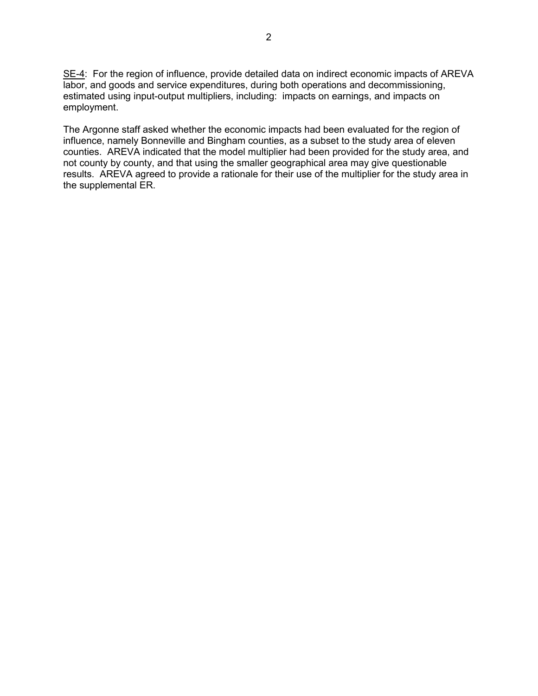SE-4: For the region of influence, provide detailed data on indirect economic impacts of AREVA labor, and goods and service expenditures, during both operations and decommissioning, estimated using input-output multipliers, including: impacts on earnings, and impacts on employment.

The Argonne staff asked whether the economic impacts had been evaluated for the region of influence, namely Bonneville and Bingham counties, as a subset to the study area of eleven counties. AREVA indicated that the model multiplier had been provided for the study area, and not county by county, and that using the smaller geographical area may give questionable results. AREVA agreed to provide a rationale for their use of the multiplier for the study area in the supplemental ER.